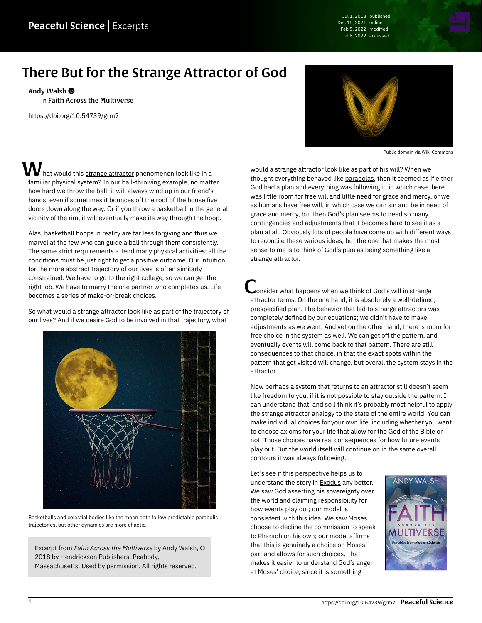Jul 1, 2018 published Dec 15, 2021 online Feb 5, 2022 modified Jul 6, 2022 accessed

## There But for the Strange Attractor of God

[Andy Walsh](https://peacefulscience.org/authors/awalsh/) in [Faith Across the Multiverse](https://peacefulscience.org/books/faith-across-multiverse/)

<https://doi.org/10.54739/grm7>

 $\boldsymbol{V}$  hat would this <u>[strange attractor](https://en.wikipedia.org/wiki/Attractor#Strange_attractor)</u> phenomenon look like in a familiar physical system? In our ball-throwing example, no matter how hard we throw the ball, it will always wind up in our friend's hands, even if sometimes it bounces off the roof of the house five doors down along the way. Or if you throw a basketball in the general vicinity of the rim, it will eventually make its way through the hoop.

Alas, basketball hoops in reality are far less forgiving and thus we marvel at the few who can guide a ball through them consistently. The same strict requirements attend many physical activities; all the conditions must be just right to get a positive outcome. Our intuition for the more abstract trajectory of our lives is often similarly constrained. We have to go to the right college, so we can get the right job. We have to marry the one partner who completes us. Life becomes a series of make-or-break choices.

So what would a strange attractor look like as part of the trajectory of our lives? And if we desire God to be involved in that trajectory, what



Basketballs and [celestial bodies](https://pixabay.com/illustrations/moon-moonlight-night-full-moon-4919501) like the moon both follow predictable parabolic trajectories, but other dynamics are more chaotic.

Excerpt from *[Faith Across the Multiverse](https://peacefulscience.org/books/faith-across-multiverse/)* by Andy Walsh, © 2018 by Hendrickson Publishers, Peabody, Massachusetts. Used by permission. All rights reserved.



Public domain via [Wiki Commons](https://en.wikipedia.org/wiki/File:Lorenz_system_r28_s10_b2-6666.png)

would a strange attractor look like as part of his will? When we thought everything behaved like [parabolas](https://en.wikipedia.org/wiki/Parabola), then it seemed as if either God had a plan and everything was following it, in which case there was little room for free will and little need for grace and mercy, or we as humans have free will, in which case we can sin and be in need of grace and mercy, but then God's plan seems to need so many contingencies and adjustments that it becomes hard to see it as a plan at all. Obviously lots of people have come up with different ways to reconcile these various ideas, but the one that makes the most sense to me is to think of God's plan as being something like a strange attractor.

onsider what happens when we think of God's will in strange attractor terms. On the one hand, it is absolutely a well-defined, prespecified plan. The behavior that led to strange attractors was completely defined by our equations; we didn't have to make adjustments as we went. And yet on the other hand, there is room for free choice in the system as well. We can get off the pattern, and eventually events will come back to that pattern. There are still consequences to that choice, in that the exact spots within the pattern that get visited will change, but overall the system stays in the attractor.

Now perhaps a system that returns to an attractor still doesn't seem like freedom to you, if it is not possible to stay outside the pattern. I can understand that, and so I think it's probably most helpful to apply the strange attractor analogy to the state of the entire world. You can make individual choices for your own life, including whether you want to choose axioms for your life that allow for the God of the Bible or not. Those choices have real consequences for how future events play out. But the world itself will continue on in the same overall contours it was always following.

Let's see if this perspective helps us to understand the story in **[Exodus](https://netbible.org/bible/Exodus+3)** any better. We saw God asserting his sovereignty over the world and claiming responsibility for how events play out; our model is consistent with this idea. We saw Moses choose to decline the commission to speak to Pharaoh on his own; our model affirms that this is genuinely a choice on Moses' part and allows for such choices. That makes it easier to understand God's anger at Moses' choice, since it is something